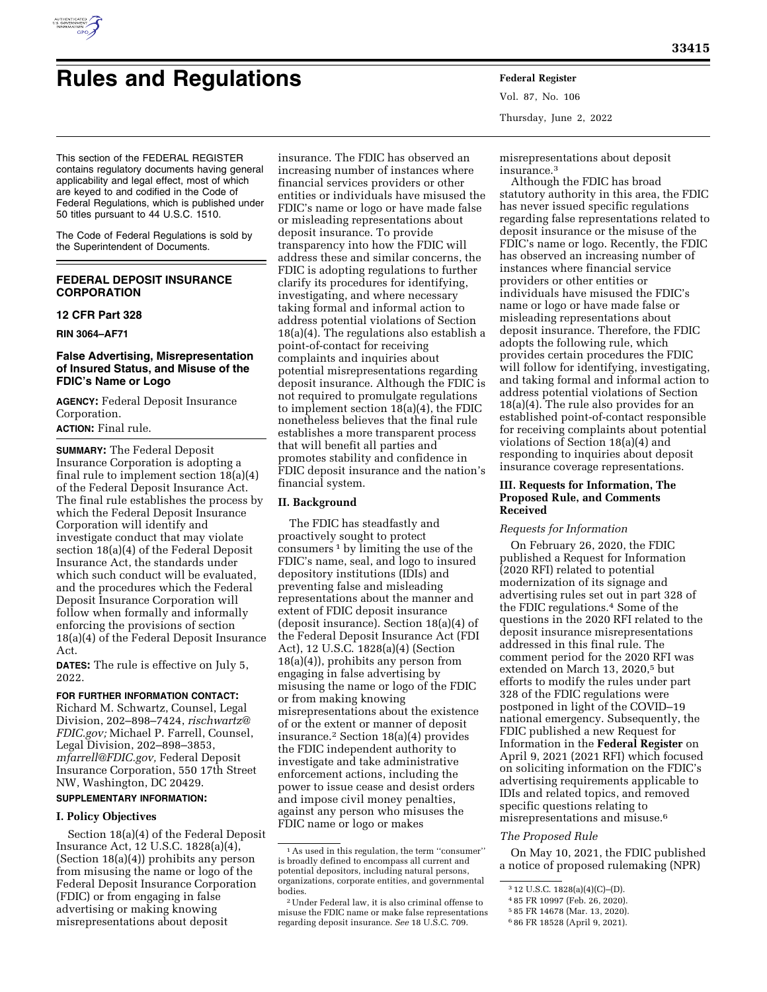

# **Rules and Regulations Federal Register**

Vol. 87, No. 106 Thursday, June 2, 2022

This section of the FEDERAL REGISTER contains regulatory documents having general applicability and legal effect, most of which are keyed to and codified in the Code of Federal Regulations, which is published under 50 titles pursuant to 44 U.S.C. 1510.

The Code of Federal Regulations is sold by the Superintendent of Documents.

# **FEDERAL DEPOSIT INSURANCE CORPORATION**

# **12 CFR Part 328**

**RIN 3064–AF71** 

# **False Advertising, Misrepresentation of Insured Status, and Misuse of the FDIC's Name or Logo**

**AGENCY:** Federal Deposit Insurance Corporation.

# **ACTION:** Final rule.

**SUMMARY:** The Federal Deposit Insurance Corporation is adopting a final rule to implement section 18(a)(4) of the Federal Deposit Insurance Act. The final rule establishes the process by which the Federal Deposit Insurance Corporation will identify and investigate conduct that may violate section 18(a)(4) of the Federal Deposit Insurance Act, the standards under which such conduct will be evaluated, and the procedures which the Federal Deposit Insurance Corporation will follow when formally and informally enforcing the provisions of section 18(a)(4) of the Federal Deposit Insurance Act.

**DATES:** The rule is effective on July 5, 2022.

# **FOR FURTHER INFORMATION CONTACT:**

Richard M. Schwartz, Counsel, Legal Division, 202–898–7424, *[rischwartz@](mailto:rischwartz@FDIC.gov) [FDIC.gov;](mailto:rischwartz@FDIC.gov)* Michael P. Farrell, Counsel, Legal Division, 202–898–3853, *[mfarrell@FDIC.gov,](mailto:mfarrell@FDIC.gov)* Federal Deposit Insurance Corporation, 550 17th Street NW, Washington, DC 20429. **SUPPLEMENTARY INFORMATION:** 

#### **I. Policy Objectives**

Section 18(a)(4) of the Federal Deposit Insurance Act, 12 U.S.C. 1828(a)(4), (Section 18(a)(4)) prohibits any person from misusing the name or logo of the Federal Deposit Insurance Corporation (FDIC) or from engaging in false advertising or making knowing misrepresentations about deposit

insurance. The FDIC has observed an increasing number of instances where financial services providers or other entities or individuals have misused the FDIC's name or logo or have made false or misleading representations about deposit insurance. To provide transparency into how the FDIC will address these and similar concerns, the FDIC is adopting regulations to further clarify its procedures for identifying, investigating, and where necessary taking formal and informal action to address potential violations of Section 18(a)(4). The regulations also establish a point-of-contact for receiving complaints and inquiries about potential misrepresentations regarding deposit insurance. Although the FDIC is not required to promulgate regulations to implement section 18(a)(4), the FDIC nonetheless believes that the final rule establishes a more transparent process that will benefit all parties and promotes stability and confidence in FDIC deposit insurance and the nation's financial system.

#### **II. Background**

The FDIC has steadfastly and proactively sought to protect consumers 1 by limiting the use of the FDIC's name, seal, and logo to insured depository institutions (IDIs) and preventing false and misleading representations about the manner and extent of FDIC deposit insurance (deposit insurance). Section 18(a)(4) of the Federal Deposit Insurance Act (FDI Act), 12 U.S.C. 1828(a)(4) (Section 18(a)(4)), prohibits any person from engaging in false advertising by misusing the name or logo of the FDIC or from making knowing misrepresentations about the existence of or the extent or manner of deposit insurance.2 Section 18(a)(4) provides the FDIC independent authority to investigate and take administrative enforcement actions, including the power to issue cease and desist orders and impose civil money penalties, against any person who misuses the FDIC name or logo or makes

misrepresentations about deposit insurance.3

Although the FDIC has broad statutory authority in this area, the FDIC has never issued specific regulations regarding false representations related to deposit insurance or the misuse of the FDIC's name or logo. Recently, the FDIC has observed an increasing number of instances where financial service providers or other entities or individuals have misused the FDIC's name or logo or have made false or misleading representations about deposit insurance. Therefore, the FDIC adopts the following rule, which provides certain procedures the FDIC will follow for identifying, investigating, and taking formal and informal action to address potential violations of Section 18(a)(4). The rule also provides for an established point-of-contact responsible for receiving complaints about potential violations of Section 18(a)(4) and responding to inquiries about deposit insurance coverage representations.

## **III. Requests for Information, The Proposed Rule, and Comments Received**

## *Requests for Information*

On February 26, 2020, the FDIC published a Request for Information (2020 RFI) related to potential modernization of its signage and advertising rules set out in part 328 of the FDIC regulations.4 Some of the questions in the 2020 RFI related to the deposit insurance misrepresentations addressed in this final rule. The comment period for the 2020 RFI was extended on March 13, 2020,<sup>5</sup> but efforts to modify the rules under part 328 of the FDIC regulations were postponed in light of the COVID–19 national emergency. Subsequently, the FDIC published a new Request for Information in the **Federal Register** on April 9, 2021 (2021 RFI) which focused on soliciting information on the FDIC's advertising requirements applicable to IDIs and related topics, and removed specific questions relating to misrepresentations and misuse.6

#### *The Proposed Rule*

On May 10, 2021, the FDIC published a notice of proposed rulemaking (NPR)

<sup>1</sup>As used in this regulation, the term ''consumer'' is broadly defined to encompass all current and potential depositors, including natural persons, organizations, corporate entities, and governmental bodies.

<sup>2</sup>Under Federal law, it is also criminal offense to misuse the FDIC name or make false representations regarding deposit insurance. *See* 18 U.S.C. 709.

<sup>3</sup> 12 U.S.C. 1828(a)(4)(C)–(D).

<sup>4</sup> 85 FR 10997 (Feb. 26, 2020).

<sup>5</sup> 85 FR 14678 (Mar. 13, 2020).

<sup>6</sup> 86 FR 18528 (April 9, 2021).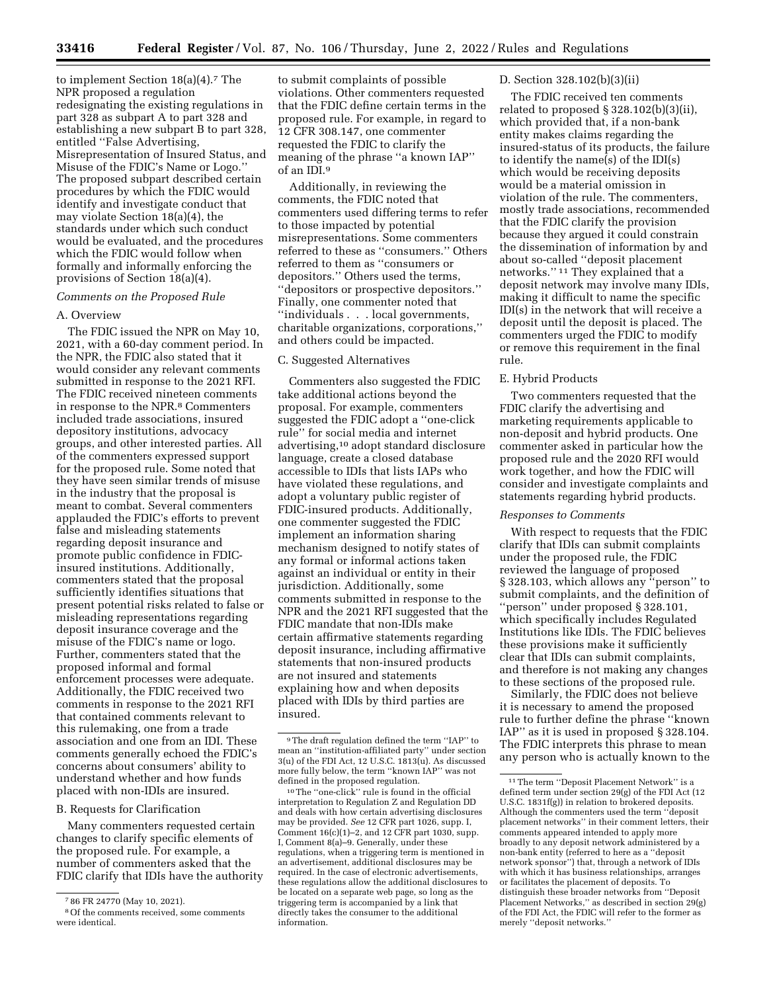to implement Section 18(a)(4).7 The NPR proposed a regulation redesignating the existing regulations in part 328 as subpart A to part 328 and establishing a new subpart B to part 328, entitled ''False Advertising, Misrepresentation of Insured Status, and Misuse of the FDIC's Name or Logo.'' The proposed subpart described certain procedures by which the FDIC would identify and investigate conduct that may violate Section 18(a)(4), the standards under which such conduct would be evaluated, and the procedures which the FDIC would follow when formally and informally enforcing the provisions of Section 18(a)(4).

## *Comments on the Proposed Rule*

#### A. Overview

The FDIC issued the NPR on May 10, 2021, with a 60-day comment period. In the NPR, the FDIC also stated that it would consider any relevant comments submitted in response to the 2021 RFI. The FDIC received nineteen comments in response to the NPR.8 Commenters included trade associations, insured depository institutions, advocacy groups, and other interested parties. All of the commenters expressed support for the proposed rule. Some noted that they have seen similar trends of misuse in the industry that the proposal is meant to combat. Several commenters applauded the FDIC's efforts to prevent false and misleading statements regarding deposit insurance and promote public confidence in FDICinsured institutions. Additionally, commenters stated that the proposal sufficiently identifies situations that present potential risks related to false or misleading representations regarding deposit insurance coverage and the misuse of the FDIC's name or logo. Further, commenters stated that the proposed informal and formal enforcement processes were adequate. Additionally, the FDIC received two comments in response to the 2021 RFI that contained comments relevant to this rulemaking, one from a trade association and one from an IDI. These comments generally echoed the FDIC's concerns about consumers' ability to understand whether and how funds placed with non-IDIs are insured.

#### B. Requests for Clarification

Many commenters requested certain changes to clarify specific elements of the proposed rule. For example, a number of commenters asked that the FDIC clarify that IDIs have the authority

to submit complaints of possible violations. Other commenters requested that the FDIC define certain terms in the proposed rule. For example, in regard to 12 CFR 308.147, one commenter requested the FDIC to clarify the meaning of the phrase ''a known IAP'' of an IDI.9

Additionally, in reviewing the comments, the FDIC noted that commenters used differing terms to refer to those impacted by potential misrepresentations. Some commenters referred to these as ''consumers.'' Others referred to them as ''consumers or depositors.'' Others used the terms, ''depositors or prospective depositors.'' Finally, one commenter noted that ''individuals . . . local governments, charitable organizations, corporations,'' and others could be impacted.

#### C. Suggested Alternatives

Commenters also suggested the FDIC take additional actions beyond the proposal. For example, commenters suggested the FDIC adopt a ''one-click rule'' for social media and internet advertising,10 adopt standard disclosure language, create a closed database accessible to IDIs that lists IAPs who have violated these regulations, and adopt a voluntary public register of FDIC-insured products. Additionally, one commenter suggested the FDIC implement an information sharing mechanism designed to notify states of any formal or informal actions taken against an individual or entity in their jurisdiction. Additionally, some comments submitted in response to the NPR and the 2021 RFI suggested that the FDIC mandate that non-IDIs make certain affirmative statements regarding deposit insurance, including affirmative statements that non-insured products are not insured and statements explaining how and when deposits placed with IDIs by third parties are insured.

 $^{\rm 10}\mathrm{The}$  ''one-click'' rule is found in the official interpretation to Regulation Z and Regulation DD and deals with how certain advertising disclosures may be provided. *See* 12 CFR part 1026, supp. I, Comment 16(c)(1)–2, and 12 CFR part 1030, supp. I, Comment 8(a)–9. Generally, under these regulations, when a triggering term is mentioned in an advertisement, additional disclosures may be required. In the case of electronic advertisements, these regulations allow the additional disclosures to be located on a separate web page, so long as the triggering term is accompanied by a link that directly takes the consumer to the additional information.

#### D. Section 328.102(b)(3)(ii)

The FDIC received ten comments related to proposed § 328.102(b)(3)(ii), which provided that, if a non-bank entity makes claims regarding the insured-status of its products, the failure to identify the name(s) of the IDI(s) which would be receiving deposits would be a material omission in violation of the rule. The commenters, mostly trade associations, recommended that the FDIC clarify the provision because they argued it could constrain the dissemination of information by and about so-called ''deposit placement networks.'' 11 They explained that a deposit network may involve many IDIs, making it difficult to name the specific IDI(s) in the network that will receive a deposit until the deposit is placed. The commenters urged the FDIC to modify or remove this requirement in the final rule.

# E. Hybrid Products

Two commenters requested that the FDIC clarify the advertising and marketing requirements applicable to non-deposit and hybrid products. One commenter asked in particular how the proposed rule and the 2020 RFI would work together, and how the FDIC will consider and investigate complaints and statements regarding hybrid products.

# *Responses to Comments*

With respect to requests that the FDIC clarify that IDIs can submit complaints under the proposed rule, the FDIC reviewed the language of proposed § 328.103, which allows any ''person'' to submit complaints, and the definition of ''person'' under proposed § 328.101, which specifically includes Regulated Institutions like IDIs. The FDIC believes these provisions make it sufficiently clear that IDIs can submit complaints, and therefore is not making any changes to these sections of the proposed rule.

Similarly, the FDIC does not believe it is necessary to amend the proposed rule to further define the phrase ''known IAP'' as it is used in proposed § 328.104. The FDIC interprets this phrase to mean any person who is actually known to the

<sup>7</sup> 86 FR 24770 (May 10, 2021).

<sup>8</sup>Of the comments received, some comments were identical.

<sup>9</sup>The draft regulation defined the term ''IAP'' to mean an ''institution-affiliated party'' under section  $3(u)$  of the FDI Act, 12 U.S.C.  $1\overline{8}13(u)$ . As discussed more fully below, the term ''known IAP'' was not defined in the proposed regulation.

<sup>11</sup>The term ''Deposit Placement Network'' is a defined term under section 29(g) of the FDI Act (12 U.S.C. 1831f(g)) in relation to brokered deposits. Although the commenters used the term ''deposit placement networks'' in their comment letters, their comments appeared intended to apply more broadly to any deposit network administered by a non-bank entity (referred to here as a ''deposit network sponsor'') that, through a network of IDIs with which it has business relationships, arranges or facilitates the placement of deposits. To distinguish these broader networks from ''Deposit Placement Networks,'' as described in section 29(g) of the FDI Act, the FDIC will refer to the former as merely ''deposit networks.''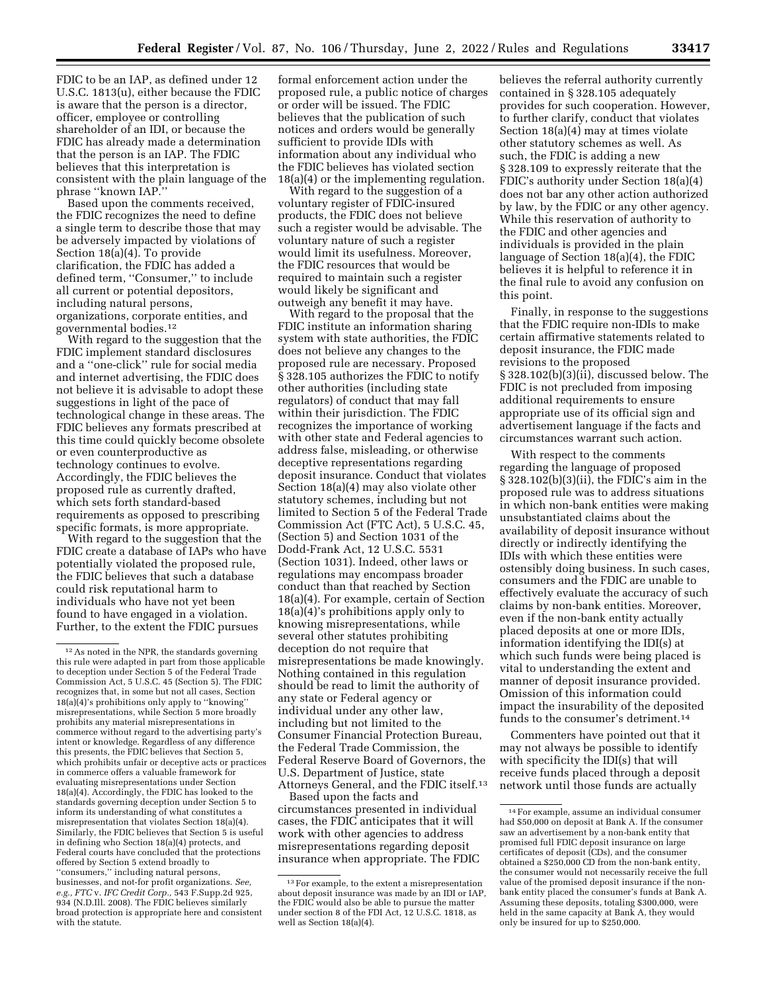FDIC to be an IAP, as defined under 12 U.S.C. 1813(u), either because the FDIC is aware that the person is a director, officer, employee or controlling shareholder of an IDI, or because the FDIC has already made a determination that the person is an IAP. The FDIC believes that this interpretation is consistent with the plain language of the phrase ''known IAP.''

Based upon the comments received, the FDIC recognizes the need to define a single term to describe those that may be adversely impacted by violations of Section 18(a)(4). To provide clarification, the FDIC has added a defined term, ''Consumer,'' to include all current or potential depositors, including natural persons, organizations, corporate entities, and governmental bodies.12

With regard to the suggestion that the FDIC implement standard disclosures and a ''one-click'' rule for social media and internet advertising, the FDIC does not believe it is advisable to adopt these suggestions in light of the pace of technological change in these areas. The FDIC believes any formats prescribed at this time could quickly become obsolete or even counterproductive as technology continues to evolve. Accordingly, the FDIC believes the proposed rule as currently drafted, which sets forth standard-based requirements as opposed to prescribing specific formats, is more appropriate.

With regard to the suggestion that the FDIC create a database of IAPs who have potentially violated the proposed rule, the FDIC believes that such a database could risk reputational harm to individuals who have not yet been found to have engaged in a violation. Further, to the extent the FDIC pursues

formal enforcement action under the proposed rule, a public notice of charges or order will be issued. The FDIC believes that the publication of such notices and orders would be generally sufficient to provide IDIs with information about any individual who the FDIC believes has violated section 18(a)(4) or the implementing regulation.

With regard to the suggestion of a voluntary register of FDIC-insured products, the FDIC does not believe such a register would be advisable. The voluntary nature of such a register would limit its usefulness. Moreover, the FDIC resources that would be required to maintain such a register would likely be significant and outweigh any benefit it may have.

With regard to the proposal that the FDIC institute an information sharing system with state authorities, the FDIC does not believe any changes to the proposed rule are necessary. Proposed § 328.105 authorizes the FDIC to notify other authorities (including state regulators) of conduct that may fall within their jurisdiction. The FDIC recognizes the importance of working with other state and Federal agencies to address false, misleading, or otherwise deceptive representations regarding deposit insurance. Conduct that violates Section 18(a)(4) may also violate other statutory schemes, including but not limited to Section 5 of the Federal Trade Commission Act (FTC Act), 5 U.S.C. 45, (Section 5) and Section 1031 of the Dodd-Frank Act, 12 U.S.C. 5531 (Section 1031). Indeed, other laws or regulations may encompass broader conduct than that reached by Section 18(a)(4). For example, certain of Section 18(a)(4)'s prohibitions apply only to knowing misrepresentations, while several other statutes prohibiting deception do not require that misrepresentations be made knowingly. Nothing contained in this regulation should be read to limit the authority of any state or Federal agency or individual under any other law, including but not limited to the Consumer Financial Protection Bureau, the Federal Trade Commission, the Federal Reserve Board of Governors, the U.S. Department of Justice, state Attorneys General, and the FDIC itself.13

Based upon the facts and circumstances presented in individual cases, the FDIC anticipates that it will work with other agencies to address misrepresentations regarding deposit insurance when appropriate. The FDIC believes the referral authority currently contained in § 328.105 adequately provides for such cooperation. However, to further clarify, conduct that violates Section 18(a)(4) may at times violate other statutory schemes as well. As such, the FDIC is adding a new § 328.109 to expressly reiterate that the FDIC's authority under Section 18(a)(4) does not bar any other action authorized by law, by the FDIC or any other agency. While this reservation of authority to the FDIC and other agencies and individuals is provided in the plain language of Section 18(a)(4), the FDIC believes it is helpful to reference it in the final rule to avoid any confusion on this point.

Finally, in response to the suggestions that the FDIC require non-IDIs to make certain affirmative statements related to deposit insurance, the FDIC made revisions to the proposed § 328.102(b)(3)(ii), discussed below. The FDIC is not precluded from imposing additional requirements to ensure appropriate use of its official sign and advertisement language if the facts and circumstances warrant such action.

With respect to the comments regarding the language of proposed § 328.102(b)(3)(ii), the FDIC's aim in the proposed rule was to address situations in which non-bank entities were making unsubstantiated claims about the availability of deposit insurance without directly or indirectly identifying the IDIs with which these entities were ostensibly doing business. In such cases, consumers and the FDIC are unable to effectively evaluate the accuracy of such claims by non-bank entities. Moreover, even if the non-bank entity actually placed deposits at one or more IDIs, information identifying the IDI(s) at which such funds were being placed is vital to understanding the extent and manner of deposit insurance provided. Omission of this information could impact the insurability of the deposited funds to the consumer's detriment.14

Commenters have pointed out that it may not always be possible to identify with specificity the IDI(s) that will receive funds placed through a deposit network until those funds are actually

<sup>12</sup>As noted in the NPR, the standards governing this rule were adapted in part from those applicable to deception under Section 5 of the Federal Trade Commission Act, 5 U.S.C. 45 (Section 5). The FDIC recognizes that, in some but not all cases, Section 18(a)(4)'s prohibitions only apply to ''knowing'' misrepresentations, while Section 5 more broadly prohibits any material misrepresentations in commerce without regard to the advertising party's intent or knowledge. Regardless of any difference this presents, the FDIC believes that Section 5, which prohibits unfair or deceptive acts or practices in commerce offers a valuable framework for evaluating misrepresentations under Section 18(a)(4). Accordingly, the FDIC has looked to the standards governing deception under Section 5 to inform its understanding of what constitutes a misrepresentation that violates Section 18(a)(4). Similarly, the FDIC believes that Section 5 is useful in defining who Section 18(a)(4) protects, and Federal courts have concluded that the protections offered by Section 5 extend broadly to ''consumers,'' including natural persons, businesses, and not-for profit organizations. *See, e.g., FTC* v. *IFC Credit Corp.,* 543 F.Supp.2d 925, 934 (N.D.Ill. 2008). The FDIC believes similarly broad protection is appropriate here and consistent with the statute.

<sup>13</sup>For example, to the extent a misrepresentation about deposit insurance was made by an IDI or IAP, the FDIC would also be able to pursue the matter under section 8 of the FDI Act, 12 U.S.C. 1818, as well as Section 18(a)(4).

<sup>14</sup>For example, assume an individual consumer had \$50,000 on deposit at Bank A. If the consumer saw an advertisement by a non-bank entity that promised full FDIC deposit insurance on large certificates of deposit (CDs), and the consumer obtained a \$250,000 CD from the non-bank entity, the consumer would not necessarily receive the full value of the promised deposit insurance if the nonbank entity placed the consumer's funds at Bank A. Assuming these deposits, totaling \$300,000, were held in the same capacity at Bank A, they would only be insured for up to \$250,000.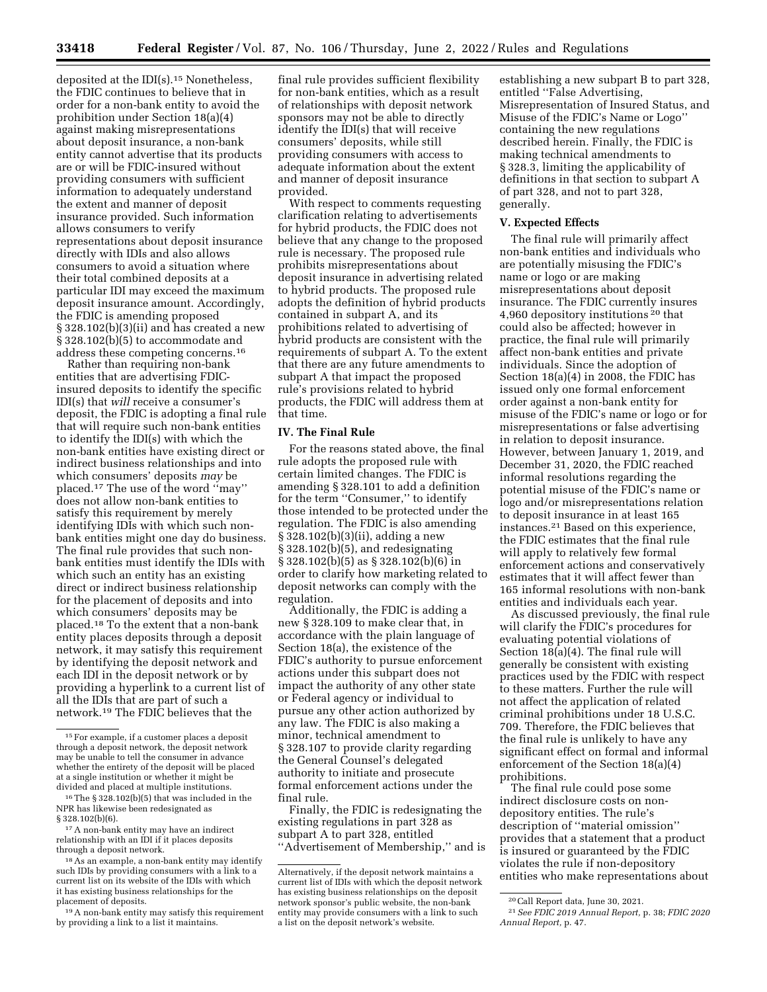deposited at the IDI(s).15 Nonetheless, the FDIC continues to believe that in order for a non-bank entity to avoid the prohibition under Section 18(a)(4) against making misrepresentations about deposit insurance, a non-bank entity cannot advertise that its products are or will be FDIC-insured without providing consumers with sufficient information to adequately understand the extent and manner of deposit insurance provided. Such information allows consumers to verify representations about deposit insurance directly with IDIs and also allows consumers to avoid a situation where their total combined deposits at a particular IDI may exceed the maximum deposit insurance amount. Accordingly, the FDIC is amending proposed § 328.102(b)(3)(ii) and has created a new § 328.102(b)(5) to accommodate and address these competing concerns.16

Rather than requiring non-bank entities that are advertising FDICinsured deposits to identify the specific IDI(s) that *will* receive a consumer's deposit, the FDIC is adopting a final rule that will require such non-bank entities to identify the IDI(s) with which the non-bank entities have existing direct or indirect business relationships and into which consumers' deposits *may* be placed.17 The use of the word ''may'' does not allow non-bank entities to satisfy this requirement by merely identifying IDIs with which such nonbank entities might one day do business. The final rule provides that such nonbank entities must identify the IDIs with which such an entity has an existing direct or indirect business relationship for the placement of deposits and into which consumers' deposits may be placed.18 To the extent that a non-bank entity places deposits through a deposit network, it may satisfy this requirement by identifying the deposit network and each IDI in the deposit network or by providing a hyperlink to a current list of all the IDIs that are part of such a network.19 The FDIC believes that the

final rule provides sufficient flexibility for non-bank entities, which as a result of relationships with deposit network sponsors may not be able to directly identify the IDI(s) that will receive consumers' deposits, while still providing consumers with access to adequate information about the extent and manner of deposit insurance provided.

With respect to comments requesting clarification relating to advertisements for hybrid products, the FDIC does not believe that any change to the proposed rule is necessary. The proposed rule prohibits misrepresentations about deposit insurance in advertising related to hybrid products. The proposed rule adopts the definition of hybrid products contained in subpart A, and its prohibitions related to advertising of hybrid products are consistent with the requirements of subpart A. To the extent that there are any future amendments to subpart A that impact the proposed rule's provisions related to hybrid products, the FDIC will address them at that time.

# **IV. The Final Rule**

For the reasons stated above, the final rule adopts the proposed rule with certain limited changes. The FDIC is amending § 328.101 to add a definition for the term ''Consumer,'' to identify those intended to be protected under the regulation. The FDIC is also amending § 328.102(b)(3)(ii), adding a new § 328.102(b)(5), and redesignating § 328.102(b)(5) as § 328.102(b)(6) in order to clarify how marketing related to deposit networks can comply with the regulation.

Additionally, the FDIC is adding a new § 328.109 to make clear that, in accordance with the plain language of Section 18(a), the existence of the FDIC's authority to pursue enforcement actions under this subpart does not impact the authority of any other state or Federal agency or individual to pursue any other action authorized by any law. The FDIC is also making a minor, technical amendment to § 328.107 to provide clarity regarding the General Counsel's delegated authority to initiate and prosecute formal enforcement actions under the final rule.

Finally, the FDIC is redesignating the existing regulations in part 328 as subpart A to part 328, entitled ''Advertisement of Membership,'' and is

establishing a new subpart B to part 328, entitled ''False Advertising, Misrepresentation of Insured Status, and Misuse of the FDIC's Name or Logo'' containing the new regulations described herein. Finally, the FDIC is making technical amendments to § 328.3, limiting the applicability of definitions in that section to subpart A of part 328, and not to part 328, generally.

#### **V. Expected Effects**

The final rule will primarily affect non-bank entities and individuals who are potentially misusing the FDIC's name or logo or are making misrepresentations about deposit insurance. The FDIC currently insures 4,960 depository institutions 20 that could also be affected; however in practice, the final rule will primarily affect non-bank entities and private individuals. Since the adoption of Section 18(a)(4) in 2008, the FDIC has issued only one formal enforcement order against a non-bank entity for misuse of the FDIC's name or logo or for misrepresentations or false advertising in relation to deposit insurance. However, between January 1, 2019, and December 31, 2020, the FDIC reached informal resolutions regarding the potential misuse of the FDIC's name or logo and/or misrepresentations relation to deposit insurance in at least 165 instances.21 Based on this experience, the FDIC estimates that the final rule will apply to relatively few formal enforcement actions and conservatively estimates that it will affect fewer than 165 informal resolutions with non-bank entities and individuals each year.

As discussed previously, the final rule will clarify the FDIC's procedures for evaluating potential violations of Section 18(a)(4). The final rule will generally be consistent with existing practices used by the FDIC with respect to these matters. Further the rule will not affect the application of related criminal prohibitions under 18 U.S.C. 709. Therefore, the FDIC believes that the final rule is unlikely to have any significant effect on formal and informal enforcement of the Section 18(a)(4) prohibitions.

The final rule could pose some indirect disclosure costs on nondepository entities. The rule's description of ''material omission'' provides that a statement that a product is insured or guaranteed by the FDIC violates the rule if non-depository entities who make representations about

<sup>15</sup>For example, if a customer places a deposit through a deposit network, the deposit network may be unable to tell the consumer in advance whether the entirety of the deposit will be placed at a single institution or whether it might be divided and placed at multiple institutions.

<sup>16</sup>The § 328.102(b)(5) that was included in the NPR has likewise been redesignated as § 328.102(b)(6).

<sup>17</sup>A non-bank entity may have an indirect relationship with an IDI if it places deposits through a deposit network.

<sup>18</sup>As an example, a non-bank entity may identify such IDIs by providing consumers with a link to a current list on its website of the IDIs with which it has existing business relationships for the placement of deposits.

<sup>19</sup>A non-bank entity may satisfy this requirement by providing a link to a list it maintains.

Alternatively, if the deposit network maintains a current list of IDIs with which the deposit network has existing business relationships on the deposit network sponsor's public website, the non-bank entity may provide consumers with a link to such a list on the deposit network's website.

<sup>20</sup>Call Report data, June 30, 2021.

<sup>21</sup>*See FDIC 2019 Annual Report,* p. 38; *FDIC 2020 Annual Report,* p. 47.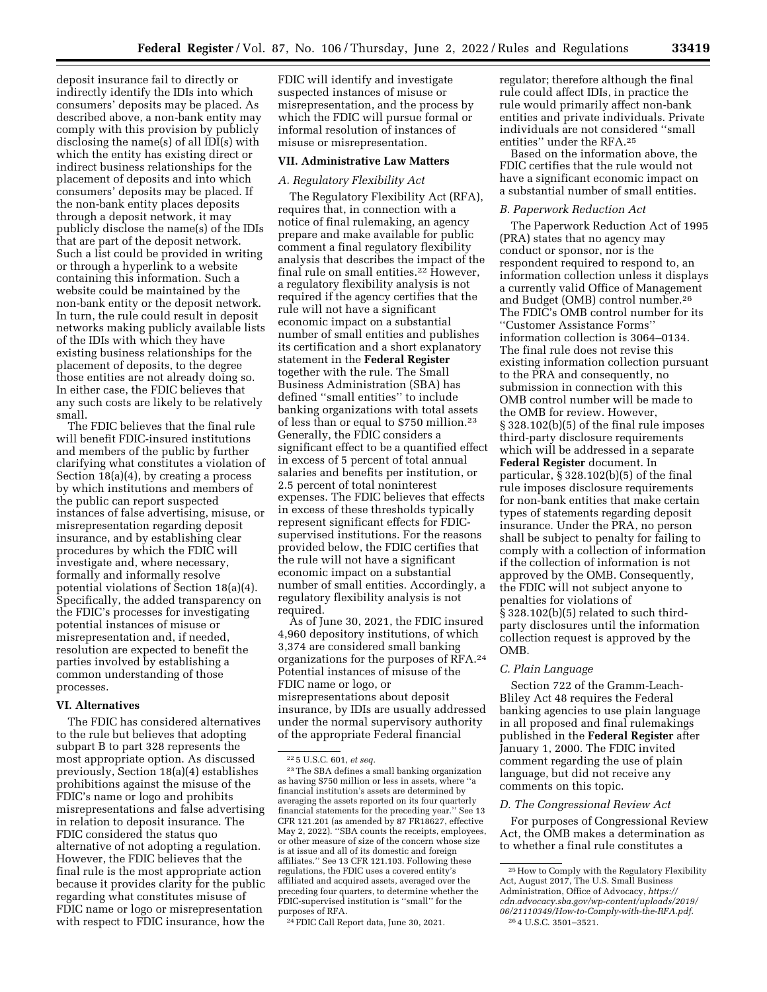deposit insurance fail to directly or indirectly identify the IDIs into which consumers' deposits may be placed. As described above, a non-bank entity may comply with this provision by publicly disclosing the name(s) of all IDI(s) with which the entity has existing direct or indirect business relationships for the placement of deposits and into which consumers' deposits may be placed. If the non-bank entity places deposits through a deposit network, it may publicly disclose the name(s) of the IDIs that are part of the deposit network. Such a list could be provided in writing or through a hyperlink to a website containing this information. Such a website could be maintained by the non-bank entity or the deposit network. In turn, the rule could result in deposit networks making publicly available lists of the IDIs with which they have existing business relationships for the placement of deposits, to the degree those entities are not already doing so. In either case, the FDIC believes that any such costs are likely to be relatively small.

The FDIC believes that the final rule will benefit FDIC-insured institutions and members of the public by further clarifying what constitutes a violation of Section 18(a)(4), by creating a process by which institutions and members of the public can report suspected instances of false advertising, misuse, or misrepresentation regarding deposit insurance, and by establishing clear procedures by which the FDIC will investigate and, where necessary, formally and informally resolve potential violations of Section 18(a)(4). Specifically, the added transparency on the FDIC's processes for investigating potential instances of misuse or misrepresentation and, if needed, resolution are expected to benefit the parties involved by establishing a common understanding of those processes.

# **VI. Alternatives**

The FDIC has considered alternatives to the rule but believes that adopting subpart B to part 328 represents the most appropriate option. As discussed previously, Section 18(a)(4) establishes prohibitions against the misuse of the FDIC's name or logo and prohibits misrepresentations and false advertising in relation to deposit insurance. The FDIC considered the status quo alternative of not adopting a regulation. However, the FDIC believes that the final rule is the most appropriate action because it provides clarity for the public regarding what constitutes misuse of FDIC name or logo or misrepresentation with respect to FDIC insurance, how the

FDIC will identify and investigate suspected instances of misuse or misrepresentation, and the process by which the FDIC will pursue formal or informal resolution of instances of misuse or misrepresentation.

# **VII. Administrative Law Matters**

# *A. Regulatory Flexibility Act*

The Regulatory Flexibility Act (RFA), requires that, in connection with a notice of final rulemaking, an agency prepare and make available for public comment a final regulatory flexibility analysis that describes the impact of the final rule on small entities.22 However, a regulatory flexibility analysis is not required if the agency certifies that the rule will not have a significant economic impact on a substantial number of small entities and publishes its certification and a short explanatory statement in the **Federal Register**  together with the rule. The Small Business Administration (SBA) has defined ''small entities'' to include banking organizations with total assets of less than or equal to \$750 million.23 Generally, the FDIC considers a significant effect to be a quantified effect in excess of 5 percent of total annual salaries and benefits per institution, or 2.5 percent of total noninterest expenses. The FDIC believes that effects in excess of these thresholds typically represent significant effects for FDICsupervised institutions. For the reasons provided below, the FDIC certifies that the rule will not have a significant economic impact on a substantial number of small entities. Accordingly, a regulatory flexibility analysis is not required.

As of June 30, 2021, the FDIC insured 4,960 depository institutions, of which 3,374 are considered small banking organizations for the purposes of RFA.24 Potential instances of misuse of the FDIC name or logo, or misrepresentations about deposit insurance, by IDIs are usually addressed under the normal supervisory authority of the appropriate Federal financial

regulator; therefore although the final rule could affect IDIs, in practice the rule would primarily affect non-bank entities and private individuals. Private individuals are not considered ''small entities'' under the RFA.25

Based on the information above, the FDIC certifies that the rule would not have a significant economic impact on a substantial number of small entities.

#### *B. Paperwork Reduction Act*

The Paperwork Reduction Act of 1995 (PRA) states that no agency may conduct or sponsor, nor is the respondent required to respond to, an information collection unless it displays a currently valid Office of Management and Budget (OMB) control number.26 The FDIC's OMB control number for its ''Customer Assistance Forms'' information collection is 3064–0134. The final rule does not revise this existing information collection pursuant to the PRA and consequently, no submission in connection with this OMB control number will be made to the OMB for review. However, § 328.102(b)(5) of the final rule imposes third-party disclosure requirements which will be addressed in a separate **Federal Register** document. In particular, § 328.102(b)(5) of the final rule imposes disclosure requirements for non-bank entities that make certain types of statements regarding deposit insurance. Under the PRA, no person shall be subject to penalty for failing to comply with a collection of information if the collection of information is not approved by the OMB. Consequently, the FDIC will not subject anyone to penalties for violations of § 328.102(b)(5) related to such thirdparty disclosures until the information collection request is approved by the OMB.

# *C. Plain Language*

Section 722 of the Gramm-Leach-Bliley Act 48 requires the Federal banking agencies to use plain language in all proposed and final rulemakings published in the **Federal Register** after January 1, 2000. The FDIC invited comment regarding the use of plain language, but did not receive any comments on this topic.

#### *D. The Congressional Review Act*

For purposes of Congressional Review Act, the OMB makes a determination as to whether a final rule constitutes a

<sup>22</sup> 5 U.S.C. 601, *et seq.* 

<sup>23</sup>The SBA defines a small banking organization as having \$750 million or less in assets, where ''a financial institution's assets are determined by averaging the assets reported on its four quarterly financial statements for the preceding year.'' See 13 CFR 121.201 (as amended by 87 FR18627, effective May 2, 2022). ''SBA counts the receipts, employees, or other measure of size of the concern whose size is at issue and all of its domestic and foreign affiliates.'' See 13 CFR 121.103. Following these regulations, the FDIC uses a covered entity's affiliated and acquired assets, averaged over the preceding four quarters, to determine whether the FDIC-supervised institution is ''small'' for the purposes of RFA.

<sup>24</sup>FDIC Call Report data, June 30, 2021.

<sup>25</sup>How to Comply with the Regulatory Flexibility Act, August 2017, The U.S. Small Business Administration, Office of Advocacy, *[https://](https://cdn.advocacy.sba.gov/wp-content/uploads/2019/06/21110349/How-to-Comply-with-the-RFA.pdf) [cdn.advocacy.sba.gov/wp-content/uploads/2019/](https://cdn.advocacy.sba.gov/wp-content/uploads/2019/06/21110349/How-to-Comply-with-the-RFA.pdf) [06/21110349/How-to-Comply-with-the-RFA.pdf.](https://cdn.advocacy.sba.gov/wp-content/uploads/2019/06/21110349/How-to-Comply-with-the-RFA.pdf)*  26 4 U.S.C. 3501–3521.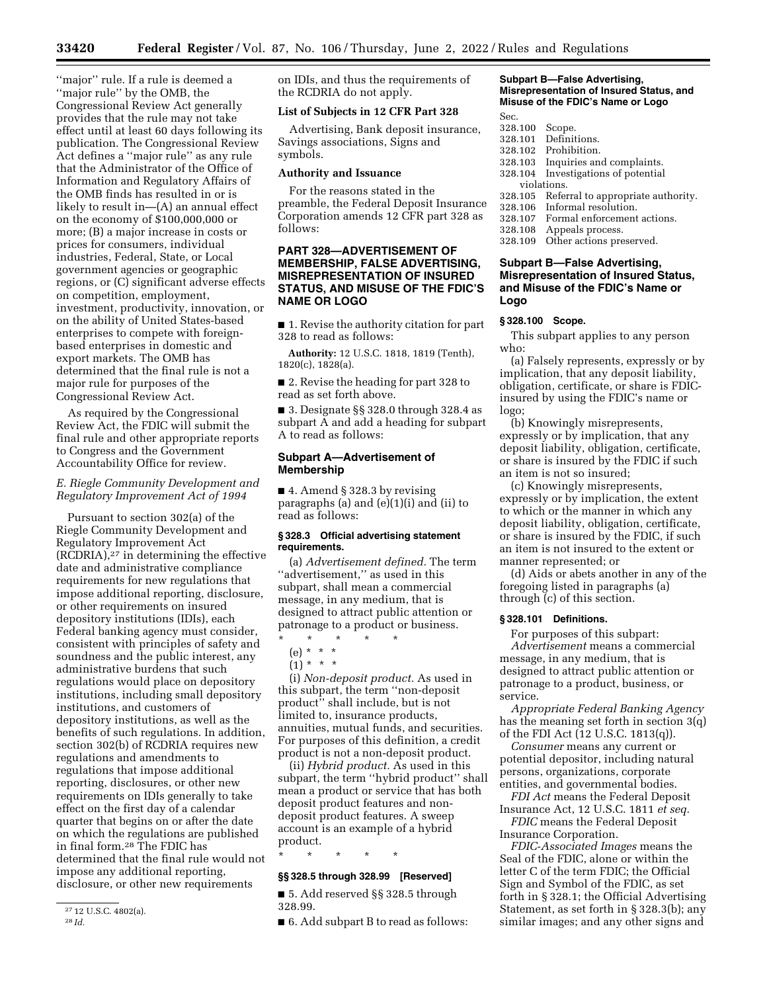''major'' rule. If a rule is deemed a ''major rule'' by the OMB, the Congressional Review Act generally provides that the rule may not take effect until at least 60 days following its publication. The Congressional Review Act defines a ''major rule'' as any rule that the Administrator of the Office of Information and Regulatory Affairs of the OMB finds has resulted in or is likely to result in—(A) an annual effect on the economy of \$100,000,000 or more; (B) a major increase in costs or prices for consumers, individual industries, Federal, State, or Local government agencies or geographic regions, or (C) significant adverse effects on competition, employment, investment, productivity, innovation, or on the ability of United States-based enterprises to compete with foreignbased enterprises in domestic and export markets. The OMB has determined that the final rule is not a major rule for purposes of the Congressional Review Act.

As required by the Congressional Review Act, the FDIC will submit the final rule and other appropriate reports to Congress and the Government Accountability Office for review.

# *E. Riegle Community Development and Regulatory Improvement Act of 1994*

Pursuant to section 302(a) of the Riegle Community Development and Regulatory Improvement Act  $(RCDRIA),<sup>27</sup>$  in determining the effective date and administrative compliance requirements for new regulations that impose additional reporting, disclosure, or other requirements on insured depository institutions (IDIs), each Federal banking agency must consider, consistent with principles of safety and soundness and the public interest, any administrative burdens that such regulations would place on depository institutions, including small depository institutions, and customers of depository institutions, as well as the benefits of such regulations. In addition, section 302(b) of RCDRIA requires new regulations and amendments to regulations that impose additional reporting, disclosures, or other new requirements on IDIs generally to take effect on the first day of a calendar quarter that begins on or after the date on which the regulations are published in final form.28 The FDIC has determined that the final rule would not impose any additional reporting, disclosure, or other new requirements

on IDIs, and thus the requirements of the RCDRIA do not apply.

#### **List of Subjects in 12 CFR Part 328**

Advertising, Bank deposit insurance, Savings associations, Signs and symbols.

#### **Authority and Issuance**

For the reasons stated in the preamble, the Federal Deposit Insurance Corporation amends 12 CFR part 328 as follows:

# **PART 328—ADVERTISEMENT OF MEMBERSHIP, FALSE ADVERTISING, MISREPRESENTATION OF INSURED STATUS, AND MISUSE OF THE FDIC'S NAME OR LOGO**

■ 1. Revise the authority citation for part 328 to read as follows:

**Authority:** 12 U.S.C. 1818, 1819 (Tenth), 1820(c), 1828(a).

■ 2. Revise the heading for part 328 to read as set forth above.

■ 3. Designate §§ 328.0 through 328.4 as subpart A and add a heading for subpart A to read as follows:

#### **Subpart A—Advertisement of Membership**

■ 4. Amend § 328.3 by revising paragraphs (a) and (e)(1)(i) and (ii) to read as follows:

# **§ 328.3 Official advertising statement requirements.**

(a) *Advertisement defined.* The term ''advertisement,'' as used in this subpart, shall mean a commercial message, in any medium, that is designed to attract public attention or patronage to a product or business.

- \* \* \* \* \*
	- (e) \* \* \*  $(1) * * * *$

(i) *Non-deposit product.* As used in this subpart, the term ''non-deposit product'' shall include, but is not limited to, insurance products, annuities, mutual funds, and securities. For purposes of this definition, a credit product is not a non-deposit product.

(ii) *Hybrid product.* As used in this subpart, the term ''hybrid product'' shall mean a product or service that has both deposit product features and nondeposit product features. A sweep account is an example of a hybrid product.

\* \* \* \* \*

# **§§ 328.5 through 328.99 [Reserved]**

■ 5. Add reserved §§ 328.5 through 328.99.

■ 6. Add subpart B to read as follows:

#### **Subpart B—False Advertising, Misrepresentation of Insured Status, and Misuse of the FDIC's Name or Logo**  Sec.

- 
- 328.100 Scope. Definitions.
- 328.102 Prohibition.
- 328.103 Inquiries and complaints.
- 328.104 Investigations of potential violations.<br>328.105 Refer
- Referral to appropriate authority.
- 328.106 Informal resolution.
- Formal enforcement actions.
- 328.108 Appeals process. 328.109 Other actions preserved.
- **Subpart B—False Advertising, Misrepresentation of Insured Status,**

# **and Misuse of the FDIC's Name or Logo**

#### **§ 328.100 Scope.**

This subpart applies to any person who:

(a) Falsely represents, expressly or by implication, that any deposit liability, obligation, certificate, or share is FDICinsured by using the FDIC's name or logo;

(b) Knowingly misrepresents, expressly or by implication, that any deposit liability, obligation, certificate, or share is insured by the FDIC if such an item is not so insured;

(c) Knowingly misrepresents, expressly or by implication, the extent to which or the manner in which any deposit liability, obligation, certificate, or share is insured by the FDIC, if such an item is not insured to the extent or manner represented; or

(d) Aids or abets another in any of the foregoing listed in paragraphs (a) through (c) of this section.

#### **§ 328.101 Definitions.**

For purposes of this subpart: *Advertisement* means a commercial message, in any medium, that is designed to attract public attention or patronage to a product, business, or service.

*Appropriate Federal Banking Agency*  has the meaning set forth in section 3(q) of the FDI Act (12 U.S.C. 1813(q)).

*Consumer* means any current or potential depositor, including natural persons, organizations, corporate entities, and governmental bodies.

*FDI Act* means the Federal Deposit Insurance Act, 12 U.S.C. 1811 *et seq.* 

*FDIC* means the Federal Deposit Insurance Corporation.

*FDIC-Associated Images* means the Seal of the FDIC, alone or within the letter C of the term FDIC; the Official Sign and Symbol of the FDIC, as set forth in § 328.1; the Official Advertising Statement, as set forth in § 328.3(b); any similar images; and any other signs and

<sup>27</sup> 12 U.S.C. 4802(a).

<sup>28</sup> *Id.*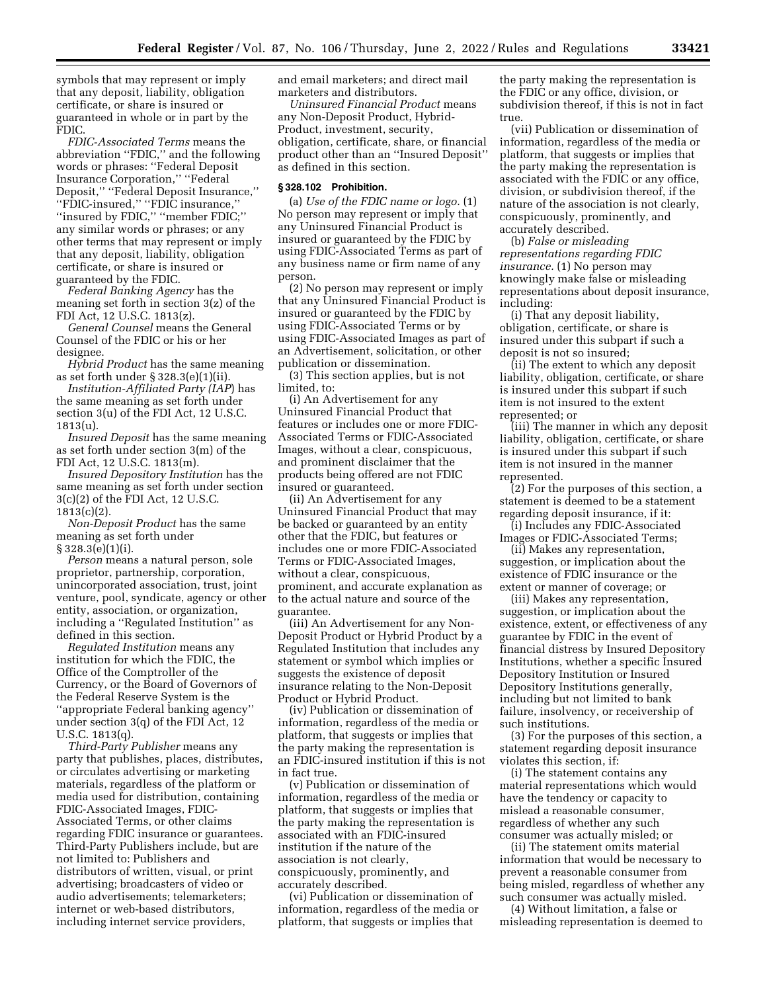symbols that may represent or imply that any deposit, liability, obligation certificate, or share is insured or guaranteed in whole or in part by the FDIC.

*FDIC-Associated Terms* means the abbreviation ''FDIC,'' and the following words or phrases: ''Federal Deposit Insurance Corporation,'' ''Federal Deposit,'' ''Federal Deposit Insurance,'' ''FDIC-insured,'' ''FDIC insurance,'' ''insured by FDIC,'' ''member FDIC;'' any similar words or phrases; or any other terms that may represent or imply that any deposit, liability, obligation certificate, or share is insured or guaranteed by the FDIC.

*Federal Banking Agency* has the meaning set forth in section 3(z) of the FDI Act, 12 U.S.C. 1813(z).

*General Counsel* means the General Counsel of the FDIC or his or her designee.

*Hybrid Product* has the same meaning as set forth under § 328.3(e)(1)(ii).

*Institution-Affiliated Party (IAP*) has the same meaning as set forth under section 3(u) of the FDI Act, 12 U.S.C. 1813(u).

*Insured Deposit* has the same meaning as set forth under section 3(m) of the FDI Act, 12 U.S.C. 1813(m).

*Insured Depository Institution* has the same meaning as set forth under section 3(c)(2) of the FDI Act, 12 U.S.C.  $1813(c)(2)$ .

*Non-Deposit Product* has the same meaning as set forth under § 328.3(e)(1)(i).

*Person* means a natural person, sole proprietor, partnership, corporation, unincorporated association, trust, joint venture, pool, syndicate, agency or other entity, association, or organization, including a ''Regulated Institution'' as defined in this section.

*Regulated Institution* means any institution for which the FDIC, the Office of the Comptroller of the Currency, or the Board of Governors of the Federal Reserve System is the ''appropriate Federal banking agency'' under section 3(q) of the FDI Act, 12 U.S.C. 1813(q).

*Third-Party Publisher* means any party that publishes, places, distributes, or circulates advertising or marketing materials, regardless of the platform or media used for distribution, containing FDIC-Associated Images, FDIC-Associated Terms, or other claims regarding FDIC insurance or guarantees. Third-Party Publishers include, but are not limited to: Publishers and distributors of written, visual, or print advertising; broadcasters of video or audio advertisements; telemarketers; internet or web-based distributors, including internet service providers,

and email marketers; and direct mail marketers and distributors.

*Uninsured Financial Product* means any Non-Deposit Product, Hybrid-Product, investment, security, obligation, certificate, share, or financial product other than an ''Insured Deposit'' as defined in this section.

#### **§ 328.102 Prohibition.**

(a) *Use of the FDIC name or logo.* (1) No person may represent or imply that any Uninsured Financial Product is insured or guaranteed by the FDIC by using FDIC-Associated Terms as part of any business name or firm name of any person.

(2) No person may represent or imply that any Uninsured Financial Product is insured or guaranteed by the FDIC by using FDIC-Associated Terms or by using FDIC-Associated Images as part of an Advertisement, solicitation, or other publication or dissemination.

(3) This section applies, but is not limited, to:

(i) An Advertisement for any Uninsured Financial Product that features or includes one or more FDIC-Associated Terms or FDIC-Associated Images, without a clear, conspicuous, and prominent disclaimer that the products being offered are not FDIC insured or guaranteed.

(ii) An Advertisement for any Uninsured Financial Product that may be backed or guaranteed by an entity other that the FDIC, but features or includes one or more FDIC-Associated Terms or FDIC-Associated Images, without a clear, conspicuous, prominent, and accurate explanation as to the actual nature and source of the guarantee.

(iii) An Advertisement for any Non-Deposit Product or Hybrid Product by a Regulated Institution that includes any statement or symbol which implies or suggests the existence of deposit insurance relating to the Non-Deposit Product or Hybrid Product.

(iv) Publication or dissemination of information, regardless of the media or platform, that suggests or implies that the party making the representation is an FDIC-insured institution if this is not in fact true.

(v) Publication or dissemination of information, regardless of the media or platform, that suggests or implies that the party making the representation is associated with an FDIC-insured institution if the nature of the association is not clearly, conspicuously, prominently, and accurately described.

(vi) Publication or dissemination of information, regardless of the media or platform, that suggests or implies that

the party making the representation is the FDIC or any office, division, or subdivision thereof, if this is not in fact true.

(vii) Publication or dissemination of information, regardless of the media or platform, that suggests or implies that the party making the representation is associated with the FDIC or any office, division, or subdivision thereof, if the nature of the association is not clearly, conspicuously, prominently, and accurately described.

(b) *False or misleading representations regarding FDIC insurance.* (1) No person may knowingly make false or misleading representations about deposit insurance, including:

(i) That any deposit liability, obligation, certificate, or share is insured under this subpart if such a deposit is not so insured;

(ii) The extent to which any deposit liability, obligation, certificate, or share is insured under this subpart if such item is not insured to the extent represented; or

(iii) The manner in which any deposit liability, obligation, certificate, or share is insured under this subpart if such item is not insured in the manner represented.

(2) For the purposes of this section, a statement is deemed to be a statement regarding deposit insurance, if it:

(i) Includes any FDIC-Associated Images or FDIC-Associated Terms;

(ii) Makes any representation, suggestion, or implication about the existence of FDIC insurance or the extent or manner of coverage; or

(iii) Makes any representation, suggestion, or implication about the existence, extent, or effectiveness of any guarantee by FDIC in the event of financial distress by Insured Depository Institutions, whether a specific Insured Depository Institution or Insured Depository Institutions generally, including but not limited to bank failure, insolvency, or receivership of such institutions.

(3) For the purposes of this section, a statement regarding deposit insurance violates this section, if:

(i) The statement contains any material representations which would have the tendency or capacity to mislead a reasonable consumer, regardless of whether any such consumer was actually misled; or

(ii) The statement omits material information that would be necessary to prevent a reasonable consumer from being misled, regardless of whether any such consumer was actually misled.

(4) Without limitation, a false or misleading representation is deemed to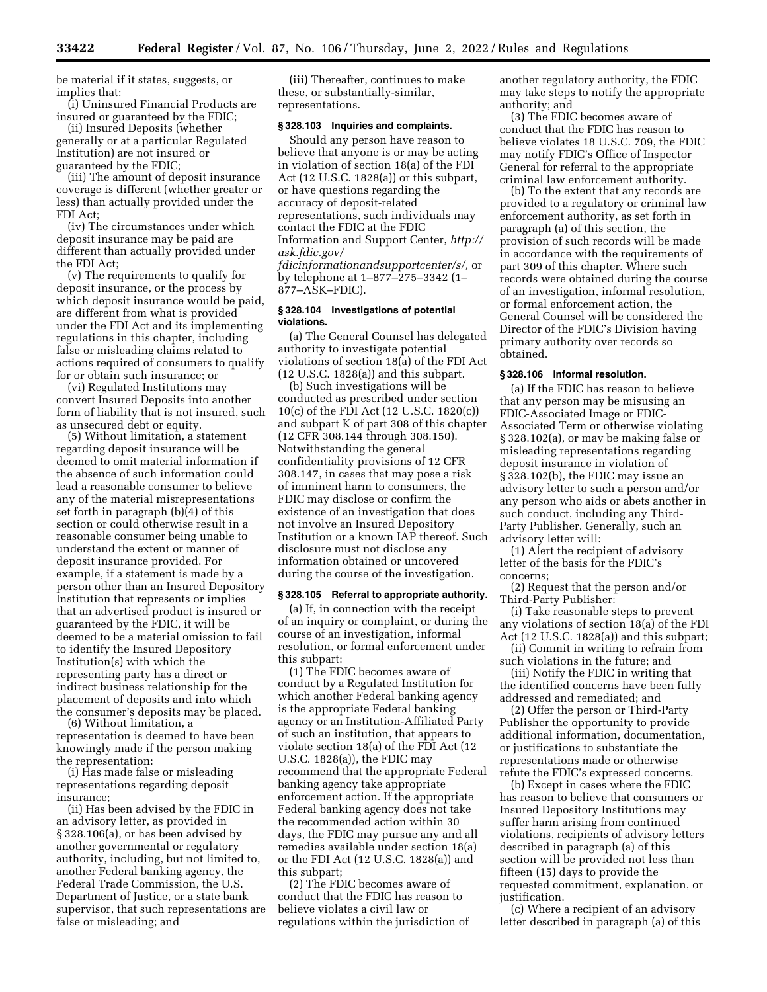be material if it states, suggests, or implies that:

(i) Uninsured Financial Products are insured or guaranteed by the FDIC;

(ii) Insured Deposits (whether generally or at a particular Regulated Institution) are not insured or guaranteed by the FDIC;

(iii) The amount of deposit insurance coverage is different (whether greater or less) than actually provided under the FDI Act;

(iv) The circumstances under which deposit insurance may be paid are different than actually provided under the FDI Act;

(v) The requirements to qualify for deposit insurance, or the process by which deposit insurance would be paid, are different from what is provided under the FDI Act and its implementing regulations in this chapter, including false or misleading claims related to actions required of consumers to qualify for or obtain such insurance; or

(vi) Regulated Institutions may convert Insured Deposits into another form of liability that is not insured, such as unsecured debt or equity.

(5) Without limitation, a statement regarding deposit insurance will be deemed to omit material information if the absence of such information could lead a reasonable consumer to believe any of the material misrepresentations set forth in paragraph (b)(4) of this section or could otherwise result in a reasonable consumer being unable to understand the extent or manner of deposit insurance provided. For example, if a statement is made by a person other than an Insured Depository Institution that represents or implies that an advertised product is insured or guaranteed by the FDIC, it will be deemed to be a material omission to fail to identify the Insured Depository Institution(s) with which the representing party has a direct or indirect business relationship for the placement of deposits and into which the consumer's deposits may be placed.

(6) Without limitation, a representation is deemed to have been knowingly made if the person making the representation:

(i) Has made false or misleading representations regarding deposit insurance;

(ii) Has been advised by the FDIC in an advisory letter, as provided in § 328.106(a), or has been advised by another governmental or regulatory authority, including, but not limited to, another Federal banking agency, the Federal Trade Commission, the U.S. Department of Justice, or a state bank supervisor, that such representations are false or misleading; and

(iii) Thereafter, continues to make these, or substantially-similar, representations.

#### **§ 328.103 Inquiries and complaints.**

Should any person have reason to believe that anyone is or may be acting in violation of section 18(a) of the FDI Act (12 U.S.C. 1828(a)) or this subpart, or have questions regarding the accuracy of deposit-related representations, such individuals may contact the FDIC at the FDIC Information and Support Center, *[http://](http://ask.fdic.gov/fdicinformationandsupportcenter/s/)  [ask.fdic.gov/](http://ask.fdic.gov/fdicinformationandsupportcenter/s/)* 

*[fdicinformationandsupportcenter/s/,](http://ask.fdic.gov/fdicinformationandsupportcenter/s/)* or by telephone at 1–877–275–3342 (1– 877–ASK–FDIC).

#### **§ 328.104 Investigations of potential violations.**

(a) The General Counsel has delegated authority to investigate potential violations of section 18(a) of the FDI Act (12 U.S.C. 1828(a)) and this subpart.

(b) Such investigations will be conducted as prescribed under section 10(c) of the FDI Act (12 U.S.C. 1820(c)) and subpart K of part 308 of this chapter (12 CFR 308.144 through 308.150). Notwithstanding the general confidentiality provisions of 12 CFR 308.147, in cases that may pose a risk of imminent harm to consumers, the FDIC may disclose or confirm the existence of an investigation that does not involve an Insured Depository Institution or a known IAP thereof. Such disclosure must not disclose any information obtained or uncovered during the course of the investigation.

#### **§ 328.105 Referral to appropriate authority.**

(a) If, in connection with the receipt of an inquiry or complaint, or during the course of an investigation, informal resolution, or formal enforcement under this subpart:

(1) The FDIC becomes aware of conduct by a Regulated Institution for which another Federal banking agency is the appropriate Federal banking agency or an Institution-Affiliated Party of such an institution, that appears to violate section 18(a) of the FDI Act (12 U.S.C. 1828(a)), the FDIC may recommend that the appropriate Federal banking agency take appropriate enforcement action. If the appropriate Federal banking agency does not take the recommended action within 30 days, the FDIC may pursue any and all remedies available under section 18(a) or the FDI Act (12 U.S.C. 1828(a)) and this subpart;

(2) The FDIC becomes aware of conduct that the FDIC has reason to believe violates a civil law or regulations within the jurisdiction of another regulatory authority, the FDIC may take steps to notify the appropriate authority; and

(3) The FDIC becomes aware of conduct that the FDIC has reason to believe violates 18 U.S.C. 709, the FDIC may notify FDIC's Office of Inspector General for referral to the appropriate criminal law enforcement authority.

(b) To the extent that any records are provided to a regulatory or criminal law enforcement authority, as set forth in paragraph (a) of this section, the provision of such records will be made in accordance with the requirements of part 309 of this chapter. Where such records were obtained during the course of an investigation, informal resolution, or formal enforcement action, the General Counsel will be considered the Director of the FDIC's Division having primary authority over records so obtained.

#### **§ 328.106 Informal resolution.**

(a) If the FDIC has reason to believe that any person may be misusing an FDIC-Associated Image or FDIC-Associated Term or otherwise violating § 328.102(a), or may be making false or misleading representations regarding deposit insurance in violation of § 328.102(b), the FDIC may issue an advisory letter to such a person and/or any person who aids or abets another in such conduct, including any Third-Party Publisher. Generally, such an advisory letter will:

(1) Alert the recipient of advisory letter of the basis for the FDIC's concerns;

(2) Request that the person and/or Third-Party Publisher:

(i) Take reasonable steps to prevent any violations of section 18(a) of the FDI Act (12 U.S.C. 1828(a)) and this subpart;

(ii) Commit in writing to refrain from such violations in the future; and

(iii) Notify the FDIC in writing that the identified concerns have been fully addressed and remediated; and

(2) Offer the person or Third-Party Publisher the opportunity to provide additional information, documentation, or justifications to substantiate the representations made or otherwise refute the FDIC's expressed concerns.

(b) Except in cases where the FDIC has reason to believe that consumers or Insured Depository Institutions may suffer harm arising from continued violations, recipients of advisory letters described in paragraph (a) of this section will be provided not less than fifteen (15) days to provide the requested commitment, explanation, or justification.

(c) Where a recipient of an advisory letter described in paragraph (a) of this